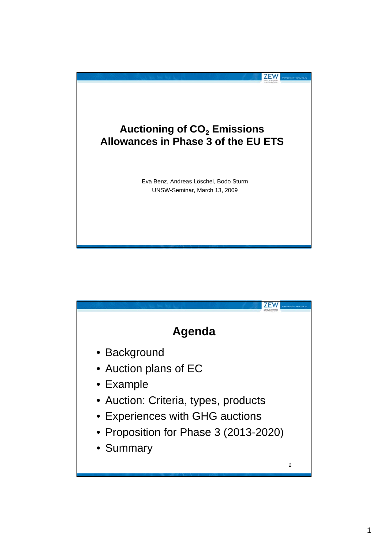

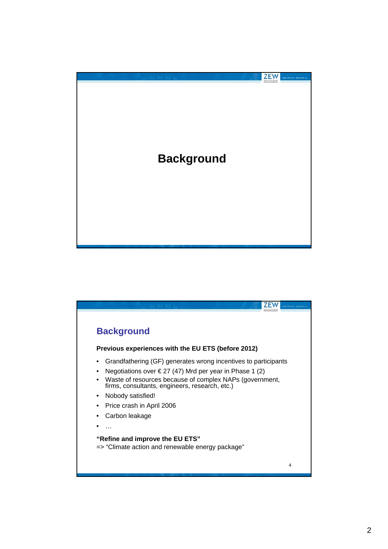

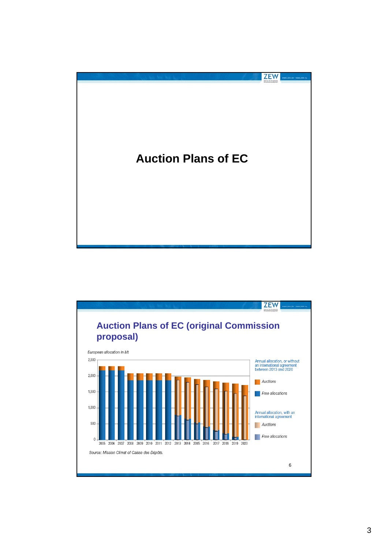

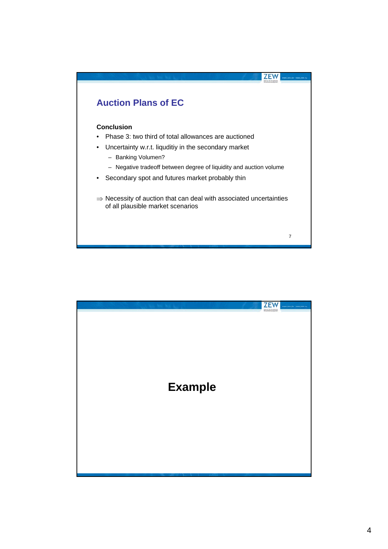

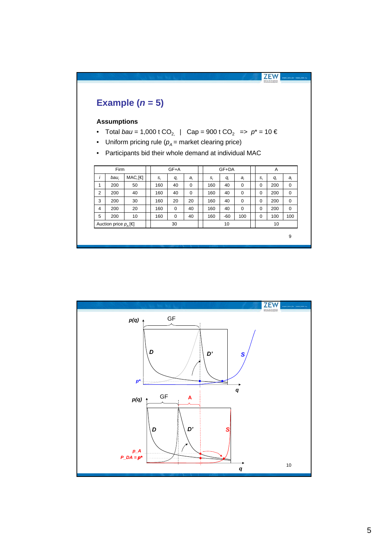

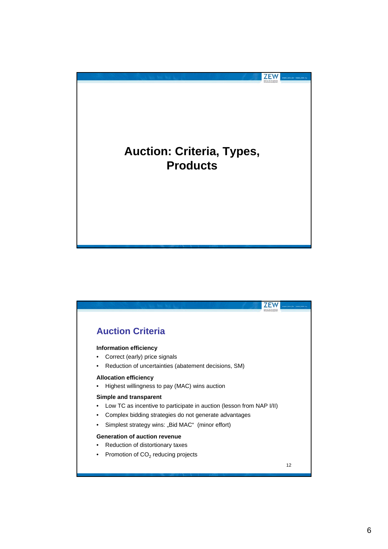

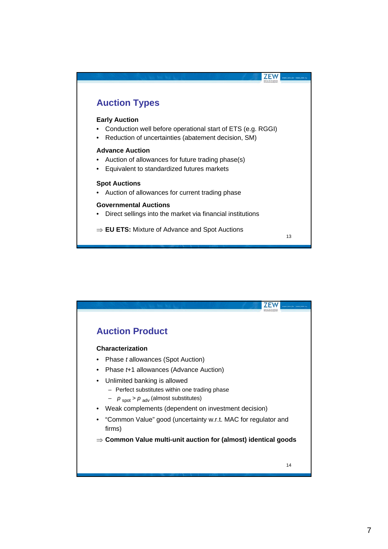

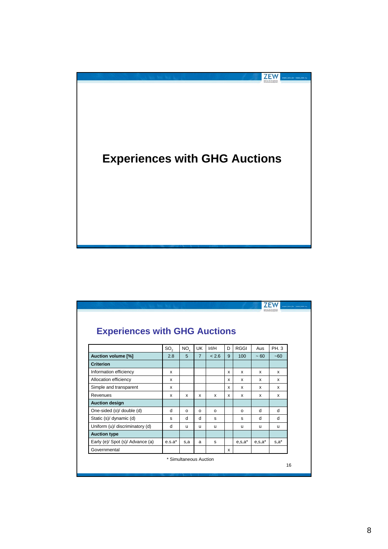

| <b>Experiences with GHG Auctions</b> |                 |                        |                |              |              |              |              |              |
|--------------------------------------|-----------------|------------------------|----------------|--------------|--------------|--------------|--------------|--------------|
|                                      | SO <sub>2</sub> | NO <sub>x</sub>        | <b>UK</b>      | IrI/H        | D.           | <b>RGGI</b>  | Aus          | PH. 3        |
| Auction volume [%]                   | 2.8             | 5                      | $\overline{7}$ | < 2.6        | 9            | 100          | $~100 - 60$  | ~160         |
| <b>Criterion</b>                     |                 |                        |                |              |              |              |              |              |
| Information efficiency               | $\mathsf{x}$    |                        |                |              | X            | $\mathsf{x}$ | x            | x            |
| Allocation efficiency                | $\mathsf{x}$    |                        |                |              | $\mathsf{x}$ | x            | x            | x            |
| Simple and transparent               | x               |                        |                |              | x            | x            | x            | x            |
| Revenues                             | x               | x                      | x              | $\mathsf{x}$ | x            | X            | $\mathsf{x}$ | x            |
| <b>Auction design</b>                |                 |                        |                |              |              |              |              |              |
| One-sided (o)/ double (d)            | d               | $\Omega$               | $\Omega$       | $\Omega$     |              | $\Omega$     | d            | <b>d</b>     |
| Static (s)/ dynamic (d)              | s               | d                      | d              | s            |              | s            | d            | <sub>d</sub> |
| Uniform (u)/ discriminatory (d)      | d               | u                      | u              | u            |              | u            | u            | u            |
| <b>Auction type</b>                  |                 |                        |                |              |              |              |              |              |
| Early (e)/ Spot (s)/ Advance (a)     | $e.s.a*$        | s,a                    | a              | s            |              | $e,s,a^*$    | $e.s.a*$     | $s.a^*$      |
| Governmental                         |                 |                        |                |              | $\mathsf{x}$ |              |              |              |
|                                      |                 | * Simultaneous Auction |                |              |              |              |              |              |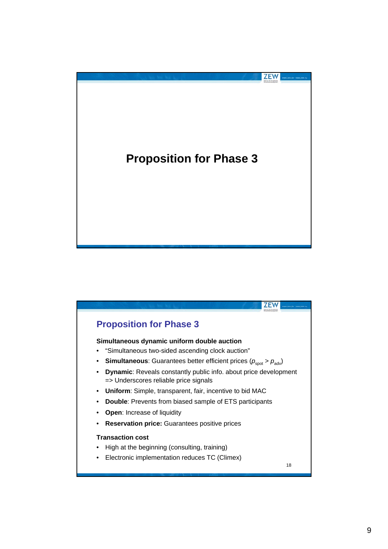

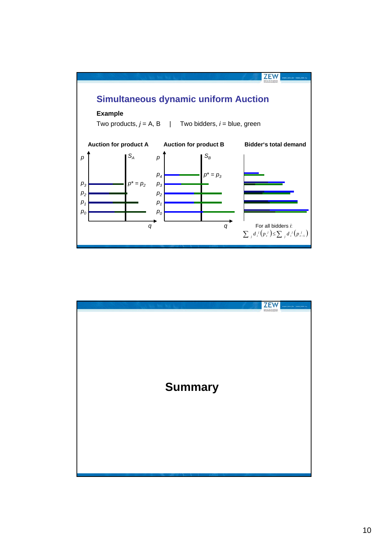